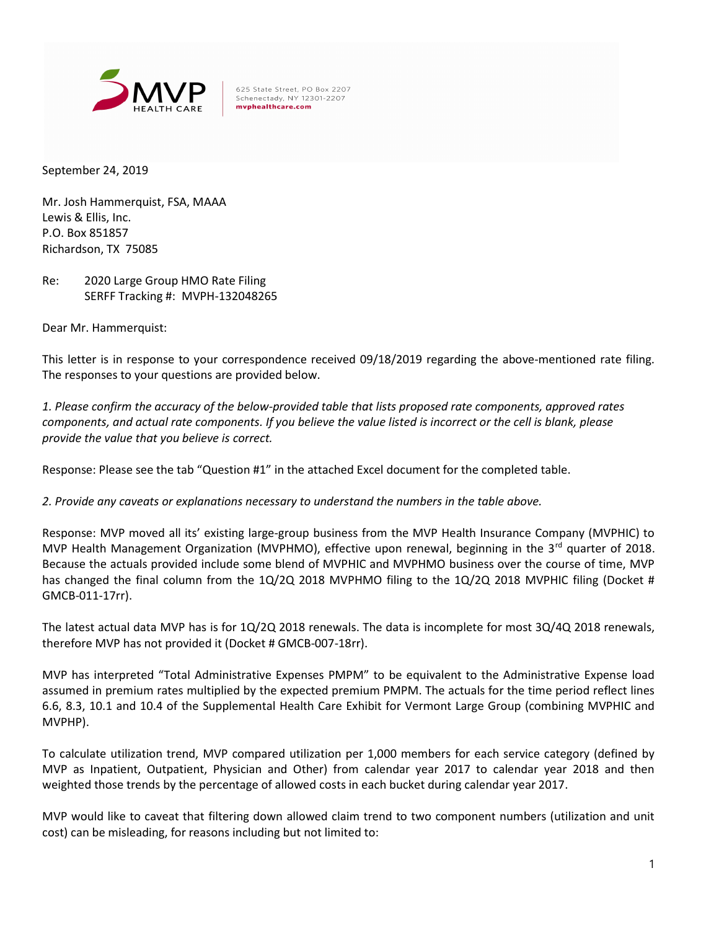

625 State Street, PO Box 2207 Schenectady, NY 12301-2207 mvphealthcare.com

September 24, 2019

Mr. Josh Hammerquist, FSA, MAAA Lewis & Ellis, Inc. P.O. Box 851857 Richardson, TX 75085

Re: 2020 Large Group HMO Rate Filing SERFF Tracking #: MVPH-132048265

Dear Mr. Hammerquist:

This letter is in response to your correspondence received 09/18/2019 regarding the above-mentioned rate filing. The responses to your questions are provided below.

1. Please confirm the accuracy of the below-provided table that lists proposed rate components, approved rates components, and actual rate components. If you believe the value listed is incorrect or the cell is blank, please provide the value that you believe is correct.

Response: Please see the tab "Question #1" in the attached Excel document for the completed table.

2. Provide any caveats or explanations necessary to understand the numbers in the table above.

Response: MVP moved all its' existing large-group business from the MVP Health Insurance Company (MVPHIC) to MVP Health Management Organization (MVPHMO), effective upon renewal, beginning in the  $3<sup>rd</sup>$  quarter of 2018. Because the actuals provided include some blend of MVPHIC and MVPHMO business over the course of time, MVP has changed the final column from the 1Q/2Q 2018 MVPHMO filing to the 1Q/2Q 2018 MVPHIC filing (Docket # GMCB-011-17rr).

The latest actual data MVP has is for 1Q/2Q 2018 renewals. The data is incomplete for most 3Q/4Q 2018 renewals, therefore MVP has not provided it (Docket # GMCB-007-18rr).

MVP has interpreted "Total Administrative Expenses PMPM" to be equivalent to the Administrative Expense load assumed in premium rates multiplied by the expected premium PMPM. The actuals for the time period reflect lines 6.6, 8.3, 10.1 and 10.4 of the Supplemental Health Care Exhibit for Vermont Large Group (combining MVPHIC and MVPHP).

To calculate utilization trend, MVP compared utilization per 1,000 members for each service category (defined by MVP as Inpatient, Outpatient, Physician and Other) from calendar year 2017 to calendar year 2018 and then weighted those trends by the percentage of allowed costs in each bucket during calendar year 2017.

MVP would like to caveat that filtering down allowed claim trend to two component numbers (utilization and unit cost) can be misleading, for reasons including but not limited to: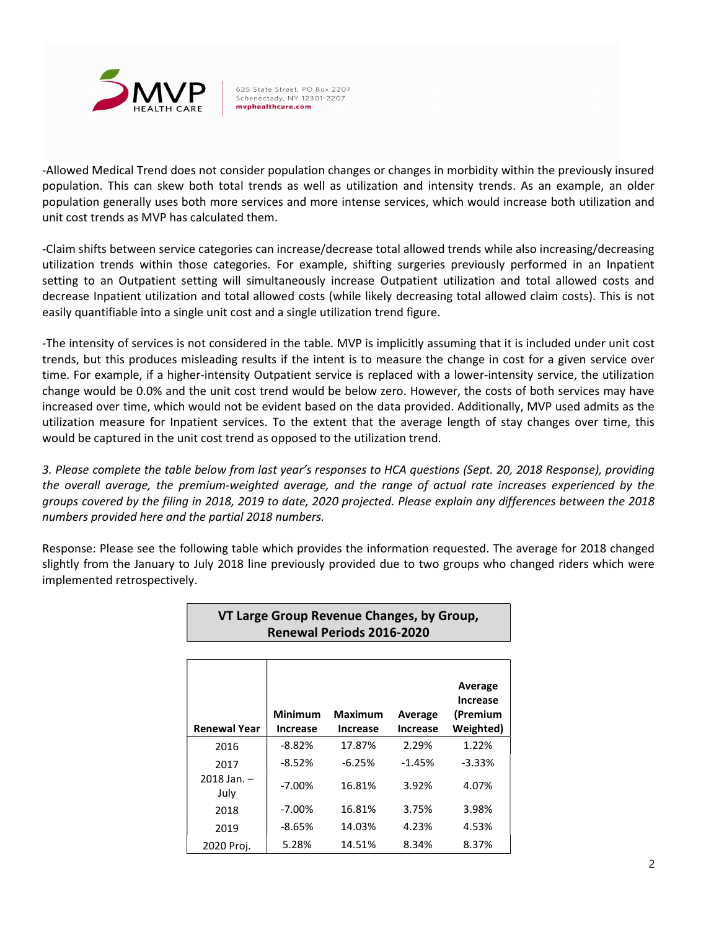

625 State Street, PO Box 2207 Schenectady, NY 12301-2207 mvphealthcare.com

-Allowed Medical Trend does not consider population changes or changes in morbidity within the previously insured population. This can skew both total trends as well as utilization and intensity trends. As an example, an older population generally uses both more services and more intense services, which would increase both utilization and unit cost trends as MVP has calculated them.

-Claim shifts between service categories can increase/decrease total allowed trends while also increasing/decreasing utilization trends within those categories. For example, shifting surgeries previously performed in an Inpatient setting to an Outpatient setting will simultaneously increase Outpatient utilization and total allowed costs and decrease Inpatient utilization and total allowed costs (while likely decreasing total allowed claim costs). This is not easily quantifiable into a single unit cost and a single utilization trend figure.

-The intensity of services is not considered in the table. MVP is implicitly assuming that it is included under unit cost trends, but this produces misleading results if the intent is to measure the change in cost for a given service over time. For example, if a higher-intensity Outpatient service is replaced with a lower-intensity service, the utilization change would be 0.0% and the unit cost trend would be below zero. However, the costs of both services may have increased over time, which would not be evident based on the data provided. Additionally, MVP used admits as the utilization measure for Inpatient services. To the extent that the average length of stay changes over time, this would be captured in the unit cost trend as opposed to the utilization trend.

3. Please complete the table below from last year's responses to HCA questions (Sept. 20, 2018 Response), providing the overall average, the premium-weighted average, and the range of actual rate increases experienced by the groups covered by the filing in 2018, 2019 to date, 2020 projected. Please explain any differences between the 2018 numbers provided here and the partial 2018 numbers.

Response: Please see the following table which provides the information requested. The average for 2018 changed slightly from the January to July 2018 line previously provided due to two groups who changed riders which were implemented retrospectively.

| VT Large Group Revenue Changes, by Group,<br><b>Renewal Periods 2016-2020</b> |                                   |                                   |                            |                                                     |  |  |  |  |  |
|-------------------------------------------------------------------------------|-----------------------------------|-----------------------------------|----------------------------|-----------------------------------------------------|--|--|--|--|--|
| <b>Renewal Year</b>                                                           | <b>Minimum</b><br><b>Increase</b> | <b>Maximum</b><br><b>Increase</b> | Average<br><b>Increase</b> | Average<br><b>Increase</b><br>(Premium<br>Weighted) |  |  |  |  |  |
| 2016                                                                          | $-8.82%$                          | 17.87%                            | 2.29%                      | 1.22%                                               |  |  |  |  |  |
| 2017                                                                          | $-8.52%$                          | $-6.25%$                          | $-1.45%$                   | $-3.33%$                                            |  |  |  |  |  |
| $2018$ Jan. $-$<br>July                                                       | $-7.00\%$                         | 16.81%                            | 3.92%                      | 4.07%                                               |  |  |  |  |  |
| 2018                                                                          | $-7.00\%$                         | 16.81%                            | 3.75%                      | 3.98%                                               |  |  |  |  |  |
| 2019                                                                          | $-8.65%$                          | 14.03%                            | 4.23%                      | 4.53%                                               |  |  |  |  |  |
| 2020 Proj.                                                                    | 5.28%                             | 14.51%                            | 8.34%                      | 8.37%                                               |  |  |  |  |  |

2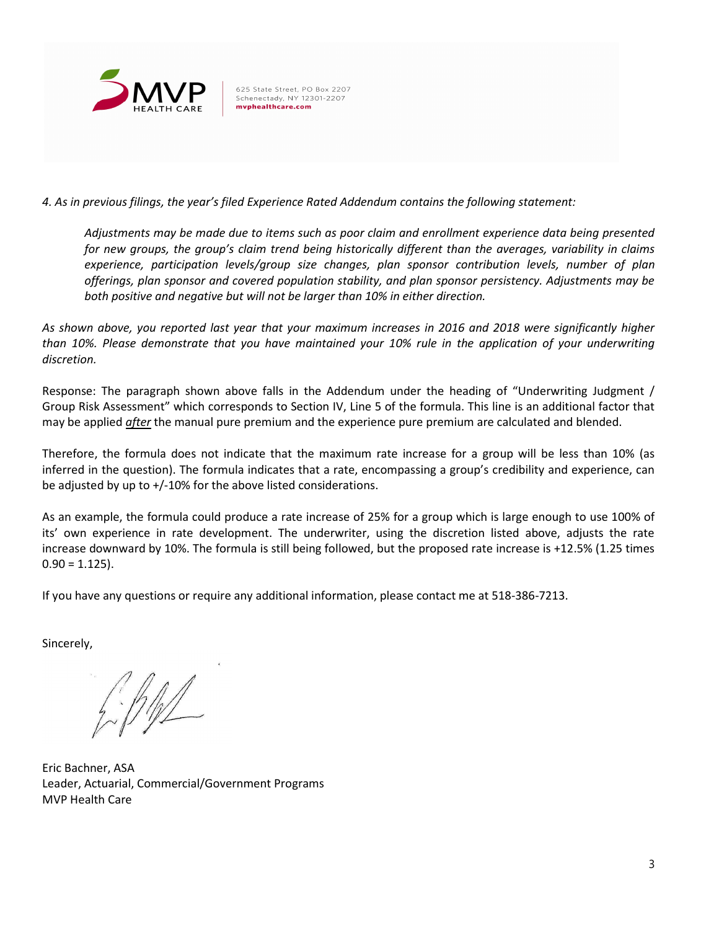

625 State Street, PO Box 2207 Schenectady, NY 12301-2207 mvphealthcare.com

4. As in previous filings, the year's filed Experience Rated Addendum contains the following statement:

Adjustments may be made due to items such as poor claim and enrollment experience data being presented for new groups, the group's claim trend being historically different than the averages, variability in claims experience, participation levels/group size changes, plan sponsor contribution levels, number of plan offerings, plan sponsor and covered population stability, and plan sponsor persistency. Adjustments may be both positive and negative but will not be larger than 10% in either direction.

As shown above, you reported last year that your maximum increases in 2016 and 2018 were significantly higher than 10%. Please demonstrate that you have maintained your 10% rule in the application of your underwriting discretion.

Response: The paragraph shown above falls in the Addendum under the heading of "Underwriting Judgment / Group Risk Assessment" which corresponds to Section IV, Line 5 of the formula. This line is an additional factor that may be applied *after* the manual pure premium and the experience pure premium are calculated and blended.

Therefore, the formula does not indicate that the maximum rate increase for a group will be less than 10% (as inferred in the question). The formula indicates that a rate, encompassing a group's credibility and experience, can be adjusted by up to +/-10% for the above listed considerations.

As an example, the formula could produce a rate increase of 25% for a group which is large enough to use 100% of its' own experience in rate development. The underwriter, using the discretion listed above, adjusts the rate increase downward by 10%. The formula is still being followed, but the proposed rate increase is +12.5% (1.25 times  $0.90 = 1.125$ ).

If you have any questions or require any additional information, please contact me at 518-386-7213.

Sincerely,

 $\frac{1}{2}$ 

Eric Bachner, ASA Leader, Actuarial, Commercial/Government Programs MVP Health Care